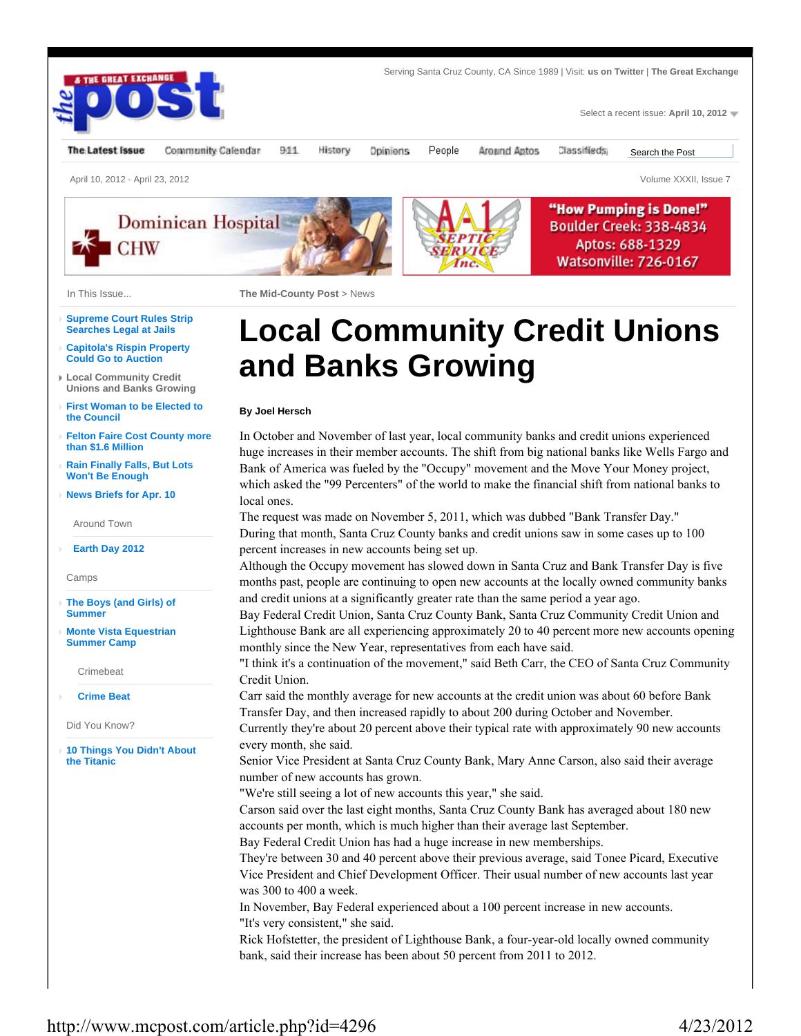

- **Capitola's Rispin Property Could Go to Auction**
- **Local Community Credit Unions and Banks Growing**
- **First Woman to be Elected to the Council**
- **Felton Faire Cost County more than \$1.6 Million**
- **Rain Finally Falls, But Lots Won't Be Enough**
- **News Briefs for Apr. 10**

Around Town

**Earth Day 2012**

Camps

- **The Boys (and Girls) of Summer**
- **Monte Vista Equestrian Summer Camp**

Crimebeat

**Crime Beat**

Did You Know?

**10 Things You Didn't About the Titanic**

## **Local Community Credit Unions and Banks Growing**

## **By Joel Hersch**

In October and November of last year, local community banks and credit unions experienced huge increases in their member accounts. The shift from big national banks like Wells Fargo and Bank of America was fueled by the "Occupy" movement and the Move Your Money project, which asked the "99 Percenters" of the world to make the financial shift from national banks to local ones.

The request was made on November 5, 2011, which was dubbed "Bank Transfer Day." During that month, Santa Cruz County banks and credit unions saw in some cases up to 100 percent increases in new accounts being set up.

Although the Occupy movement has slowed down in Santa Cruz and Bank Transfer Day is five months past, people are continuing to open new accounts at the locally owned community banks and credit unions at a significantly greater rate than the same period a year ago.

Bay Federal Credit Union, Santa Cruz County Bank, Santa Cruz Community Credit Union and Lighthouse Bank are all experiencing approximately 20 to 40 percent more new accounts opening monthly since the New Year, representatives from each have said.

"I think it's a continuation of the movement," said Beth Carr, the CEO of Santa Cruz Community Credit Union.

Carr said the monthly average for new accounts at the credit union was about 60 before Bank Transfer Day, and then increased rapidly to about 200 during October and November.

Currently they're about 20 percent above their typical rate with approximately 90 new accounts every month, she said.

Senior Vice President at Santa Cruz County Bank, Mary Anne Carson, also said their average number of new accounts has grown.

"We're still seeing a lot of new accounts this year," she said.

Carson said over the last eight months, Santa Cruz County Bank has averaged about 180 new accounts per month, which is much higher than their average last September.

Bay Federal Credit Union has had a huge increase in new memberships.

They're between 30 and 40 percent above their previous average, said Tonee Picard, Executive Vice President and Chief Development Officer. Their usual number of new accounts last year was 300 to 400 a week.

In November, Bay Federal experienced about a 100 percent increase in new accounts. "It's very consistent," she said.

Rick Hofstetter, the president of Lighthouse Bank, a four-year-old locally owned community bank, said their increase has been about 50 percent from 2011 to 2012.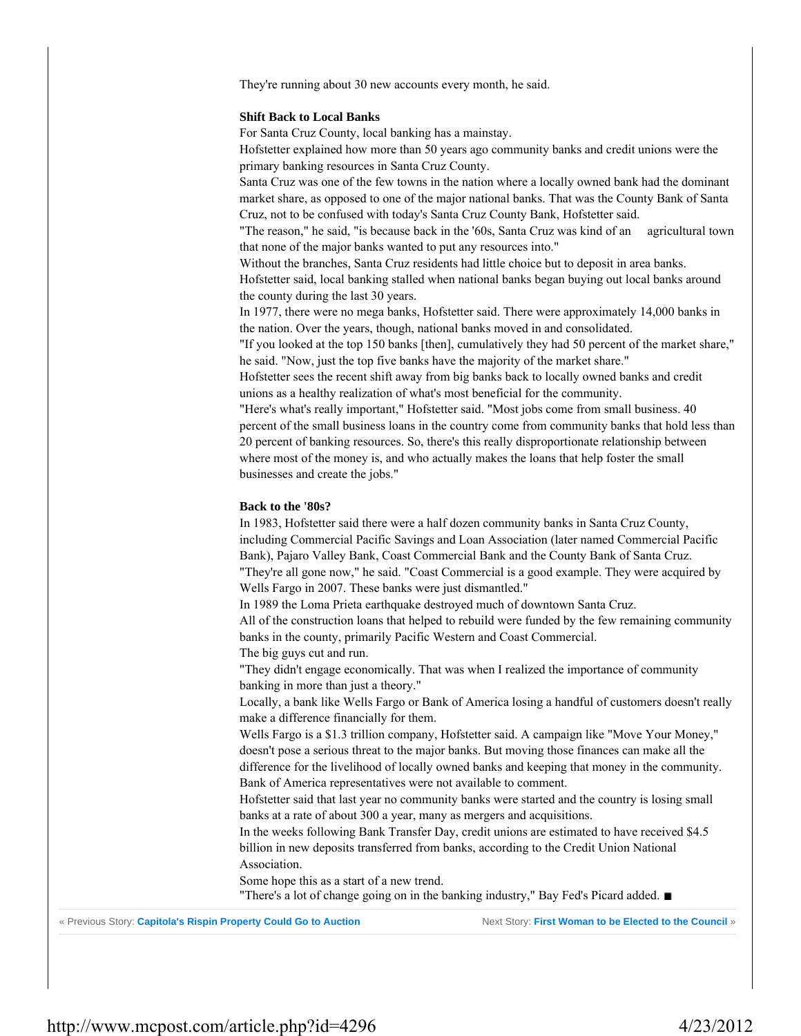They're running about 30 new accounts every month, he said.

## **Shift Back to Local Banks**

For Santa Cruz County, local banking has a mainstay.

Hofstetter explained how more than 50 years ago community banks and credit unions were the primary banking resources in Santa Cruz County.

Santa Cruz was one of the few towns in the nation where a locally owned bank had the dominant market share, as opposed to one of the major national banks. That was the County Bank of Santa Cruz, not to be confused with today's Santa Cruz County Bank, Hofstetter said.

"The reason," he said, "is because back in the '60s, Santa Cruz was kind of an agricultural town that none of the major banks wanted to put any resources into."

Without the branches, Santa Cruz residents had little choice but to deposit in area banks. Hofstetter said, local banking stalled when national banks began buying out local banks around the county during the last 30 years.

In 1977, there were no mega banks, Hofstetter said. There were approximately 14,000 banks in the nation. Over the years, though, national banks moved in and consolidated.

"If you looked at the top 150 banks [then], cumulatively they had 50 percent of the market share," he said. "Now, just the top five banks have the majority of the market share."

Hofstetter sees the recent shift away from big banks back to locally owned banks and credit unions as a healthy realization of what's most beneficial for the community.

"Here's what's really important," Hofstetter said. "Most jobs come from small business. 40 percent of the small business loans in the country come from community banks that hold less than 20 percent of banking resources. So, there's this really disproportionate relationship between where most of the money is, and who actually makes the loans that help foster the small businesses and create the jobs."

## **Back to the '80s?**

In 1983, Hofstetter said there were a half dozen community banks in Santa Cruz County, including Commercial Pacific Savings and Loan Association (later named Commercial Pacific Bank), Pajaro Valley Bank, Coast Commercial Bank and the County Bank of Santa Cruz. "They're all gone now," he said. "Coast Commercial is a good example. They were acquired by Wells Fargo in 2007. These banks were just dismantled."

In 1989 the Loma Prieta earthquake destroyed much of downtown Santa Cruz. All of the construction loans that helped to rebuild were funded by the few remaining community banks in the county, primarily Pacific Western and Coast Commercial. The big guys cut and run.

"They didn't engage economically. That was when I realized the importance of community banking in more than just a theory."

Locally, a bank like Wells Fargo or Bank of America losing a handful of customers doesn't really make a difference financially for them.

Wells Fargo is a \$1.3 trillion company, Hofstetter said. A campaign like "Move Your Money," doesn't pose a serious threat to the major banks. But moving those finances can make all the difference for the livelihood of locally owned banks and keeping that money in the community. Bank of America representatives were not available to comment.

Hofstetter said that last year no community banks were started and the country is losing small banks at a rate of about 300 a year, many as mergers and acquisitions.

In the weeks following Bank Transfer Day, credit unions are estimated to have received \$4.5 billion in new deposits transferred from banks, according to the Credit Union National Association.

Some hope this as a start of a new trend.

"There's a lot of change going on in the banking industry," Bay Fed's Picard added.

« Previous Story: Capitola's Rispin Property Could Go to Auction Next Story: First Woman to be Elected to the Council »